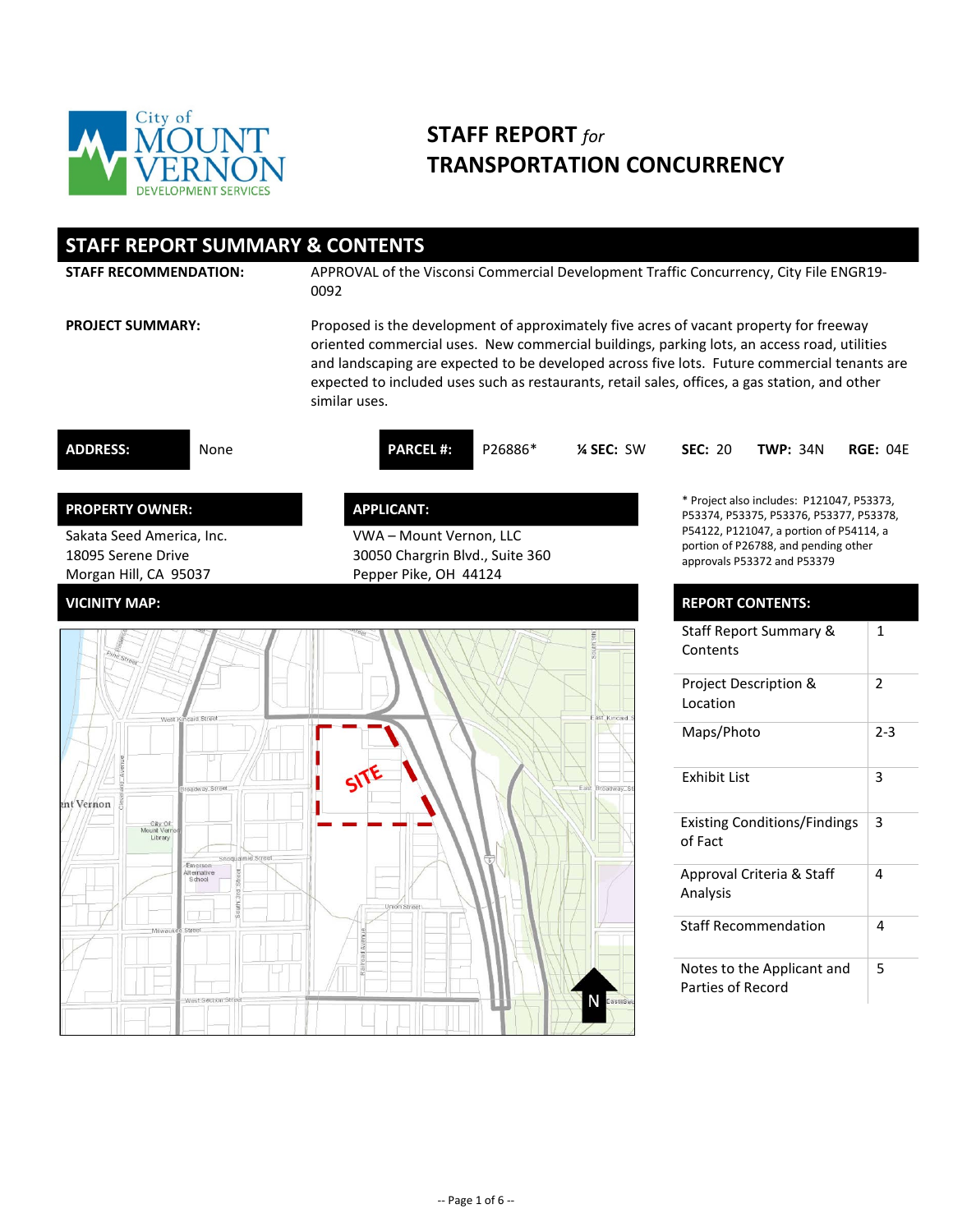

## **STAFF REPORT** *for* **TRANSPORTATION CONCURRENCY**

| <b>STAFF REPORT SUMMARY &amp; CONTENTS</b>                                                         |                                                                                                                                                                                                                                                                                                                                                                                                          |                                                                                                                                                                                                        |                 |  |  |  |  |  |
|----------------------------------------------------------------------------------------------------|----------------------------------------------------------------------------------------------------------------------------------------------------------------------------------------------------------------------------------------------------------------------------------------------------------------------------------------------------------------------------------------------------------|--------------------------------------------------------------------------------------------------------------------------------------------------------------------------------------------------------|-----------------|--|--|--|--|--|
| <b>STAFF RECOMMENDATION:</b>                                                                       | APPROVAL of the Visconsi Commercial Development Traffic Concurrency, City File ENGR19-<br>0092                                                                                                                                                                                                                                                                                                           |                                                                                                                                                                                                        |                 |  |  |  |  |  |
| <b>PROJECT SUMMARY:</b>                                                                            | Proposed is the development of approximately five acres of vacant property for freeway<br>oriented commercial uses. New commercial buildings, parking lots, an access road, utilities<br>and landscaping are expected to be developed across five lots. Future commercial tenants are<br>expected to included uses such as restaurants, retail sales, offices, a gas station, and other<br>similar uses. |                                                                                                                                                                                                        |                 |  |  |  |  |  |
| <b>ADDRESS:</b><br>None                                                                            | <b>PARCEL#:</b><br>P26886*<br>% SEC: SW                                                                                                                                                                                                                                                                                                                                                                  | <b>SEC: 20</b><br><b>TWP: 34N</b>                                                                                                                                                                      | <b>RGE: 04E</b> |  |  |  |  |  |
| <b>PROPERTY OWNER:</b><br>Sakata Seed America, Inc.<br>18095 Serene Drive<br>Morgan Hill, CA 95037 | <b>APPLICANT:</b><br>VWA - Mount Vernon, LLC<br>30050 Chargrin Blvd., Suite 360<br>Pepper Pike, OH 44124                                                                                                                                                                                                                                                                                                 | * Project also includes: P121047, P53373,<br>P53374, P53375, P53376, P53377, P53378,<br>P54122, P121047, a portion of P54114, a<br>portion of P26788, and pending other<br>approvals P53372 and P53379 |                 |  |  |  |  |  |
| <b>VICINITY MAP:</b>                                                                               |                                                                                                                                                                                                                                                                                                                                                                                                          | <b>REPORT CONTENTS:</b>                                                                                                                                                                                |                 |  |  |  |  |  |
|                                                                                                    |                                                                                                                                                                                                                                                                                                                                                                                                          | Staff Report Summary &<br>Contents                                                                                                                                                                     | $\mathbf{1}$    |  |  |  |  |  |
| aid Street<br>West                                                                                 | ast Kincaid                                                                                                                                                                                                                                                                                                                                                                                              | Project Description &<br>Location                                                                                                                                                                      | $\overline{2}$  |  |  |  |  |  |
|                                                                                                    |                                                                                                                                                                                                                                                                                                                                                                                                          | Maps/Photo                                                                                                                                                                                             | $2 - 3$         |  |  |  |  |  |
| oadway Street<br>int Vernon                                                                        | East Broadway S                                                                                                                                                                                                                                                                                                                                                                                          | <b>Exhibit List</b>                                                                                                                                                                                    | 3               |  |  |  |  |  |
| City Of<br>Library<br>Snoqualmie Street                                                            |                                                                                                                                                                                                                                                                                                                                                                                                          | <b>Existing Conditions/Findings</b><br>of Fact                                                                                                                                                         | 3               |  |  |  |  |  |
| Emerson<br>Alternative<br>School                                                                   | Union Stree                                                                                                                                                                                                                                                                                                                                                                                              | Approval Criteria & Staff<br>Analysis                                                                                                                                                                  | 4               |  |  |  |  |  |
| Street<br>Milwauk                                                                                  |                                                                                                                                                                                                                                                                                                                                                                                                          | <b>Staff Recommendation</b>                                                                                                                                                                            | 4               |  |  |  |  |  |
| West Section Str                                                                                   |                                                                                                                                                                                                                                                                                                                                                                                                          | Notes to the Applicant and<br>Parties of Record                                                                                                                                                        | 5               |  |  |  |  |  |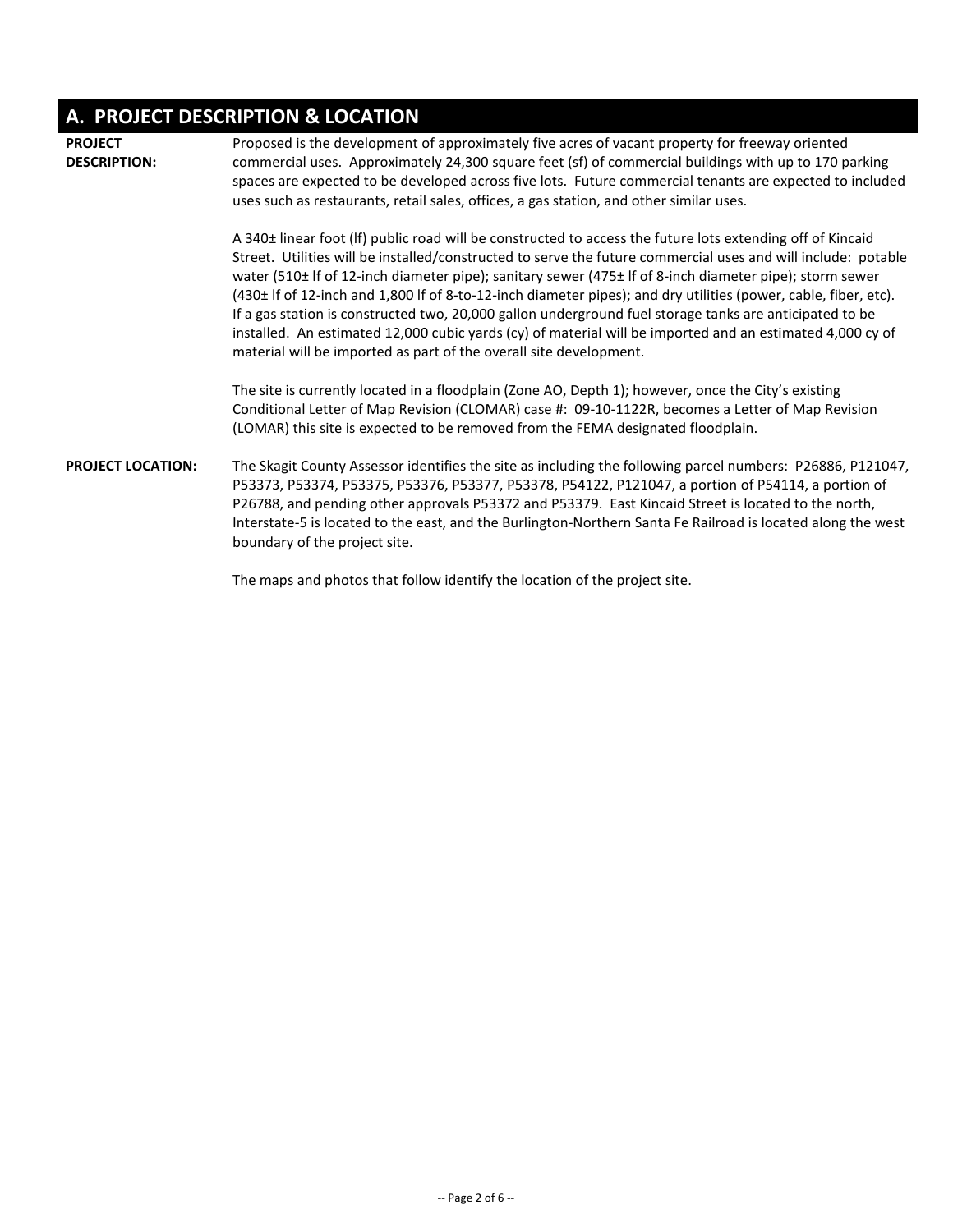# **A. PROJECT DESCRIPTION & LOCATION**

| <b>PROJECT</b><br><b>DESCRIPTION:</b> | Proposed is the development of approximately five acres of vacant property for freeway oriented<br>commercial uses. Approximately 24,300 square feet (sf) of commercial buildings with up to 170 parking<br>spaces are expected to be developed across five lots. Future commercial tenants are expected to included<br>uses such as restaurants, retail sales, offices, a gas station, and other similar uses.                                                                                                                                                                                                                                                                                                                                         |  |  |  |
|---------------------------------------|---------------------------------------------------------------------------------------------------------------------------------------------------------------------------------------------------------------------------------------------------------------------------------------------------------------------------------------------------------------------------------------------------------------------------------------------------------------------------------------------------------------------------------------------------------------------------------------------------------------------------------------------------------------------------------------------------------------------------------------------------------|--|--|--|
|                                       | A 340± linear foot (If) public road will be constructed to access the future lots extending off of Kincaid<br>Street. Utilities will be installed/constructed to serve the future commercial uses and will include: potable<br>water (510± If of 12-inch diameter pipe); sanitary sewer (475± If of 8-inch diameter pipe); storm sewer<br>(430± If of 12-inch and 1,800 If of 8-to-12-inch diameter pipes); and dry utilities (power, cable, fiber, etc).<br>If a gas station is constructed two, 20,000 gallon underground fuel storage tanks are anticipated to be<br>installed. An estimated 12,000 cubic yards (cy) of material will be imported and an estimated 4,000 cy of<br>material will be imported as part of the overall site development. |  |  |  |
|                                       | The site is currently located in a floodplain (Zone AO, Depth 1); however, once the City's existing<br>Conditional Letter of Map Revision (CLOMAR) case #: 09-10-1122R, becomes a Letter of Map Revision<br>(LOMAR) this site is expected to be removed from the FEMA designated floodplain.                                                                                                                                                                                                                                                                                                                                                                                                                                                            |  |  |  |
| <b>PROJECT LOCATION:</b>              | The Skagit County Assessor identifies the site as including the following parcel numbers: P26886, P121047,<br>P53373, P53374, P53375, P53376, P53377, P53378, P54122, P121047, a portion of P54114, a portion of<br>P26788, and pending other approvals P53372 and P53379. East Kincaid Street is located to the north,<br>Interstate-5 is located to the east, and the Burlington-Northern Santa Fe Railroad is located along the west<br>boundary of the project site.                                                                                                                                                                                                                                                                                |  |  |  |
|                                       | The maps and photos that follow identify the location of the project site.                                                                                                                                                                                                                                                                                                                                                                                                                                                                                                                                                                                                                                                                              |  |  |  |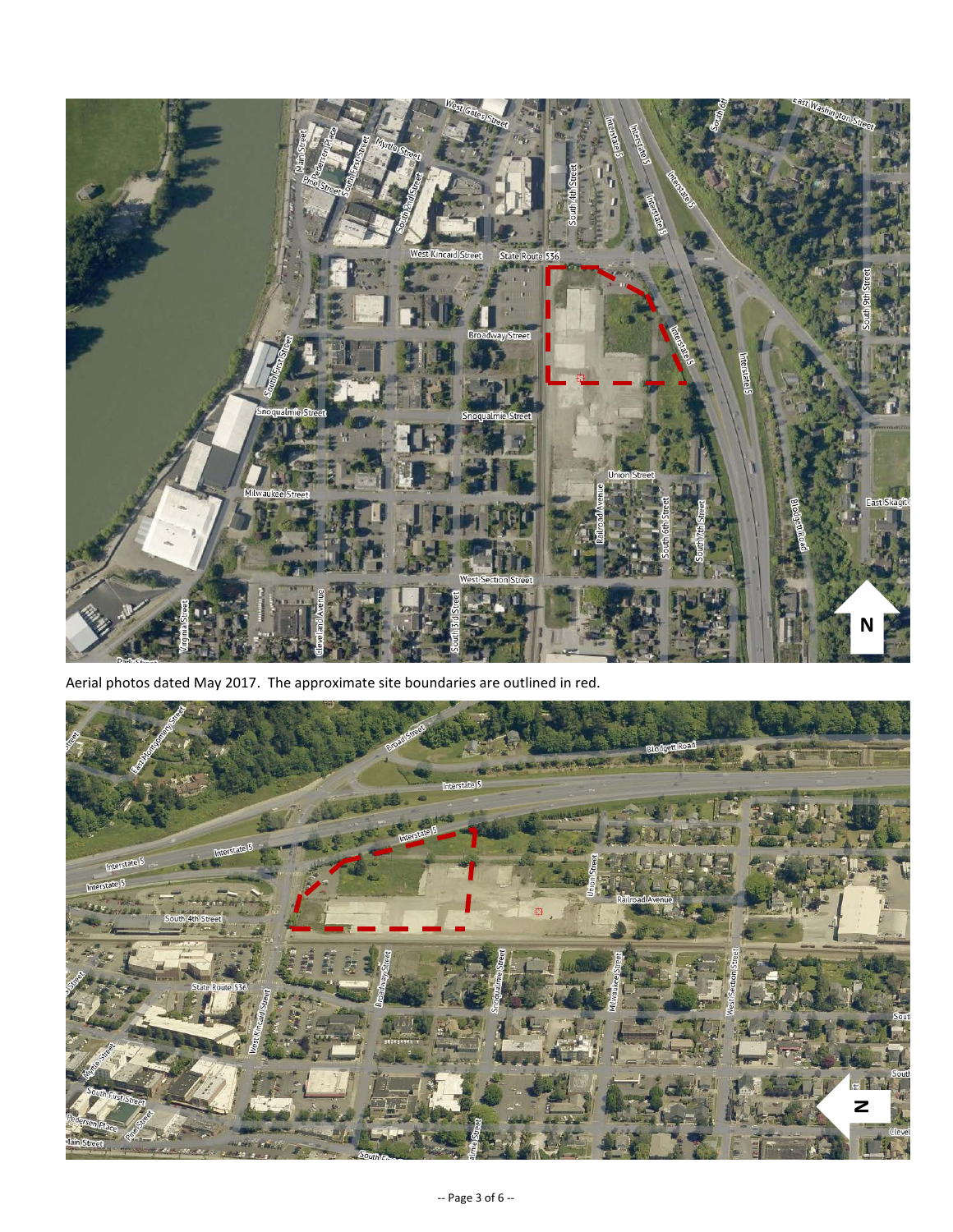

Aerial photos dated May 2017. The approximate site boundaries are outlined in red.

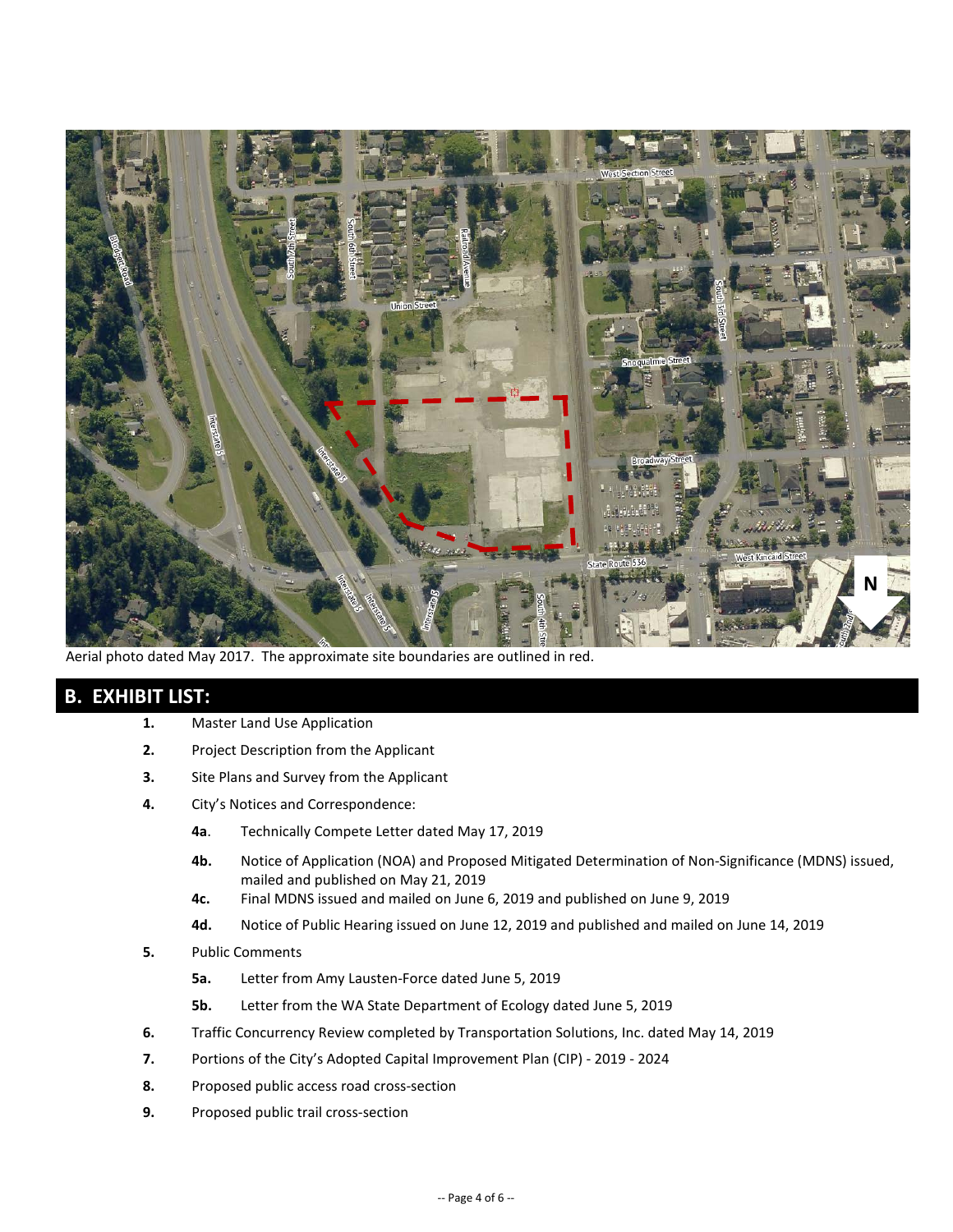

Aerial photo dated May 2017. The approximate site boundaries are outlined in red.

## **B. EXHIBIT LIST:**

- **1.** Master Land Use Application
- **2.** Project Description from the Applicant
- **3.** Site Plans and Survey from the Applicant
- **4.** City's Notices and Correspondence:
	- **4a**. Technically Compete Letter dated May 17, 2019
	- **4b.** Notice of Application (NOA) and Proposed Mitigated Determination of Non-Significance (MDNS) issued, mailed and published on May 21, 2019
	- **4c.** Final MDNS issued and mailed on June 6, 2019 and published on June 9, 2019
	- **4d.** Notice of Public Hearing issued on June 12, 2019 and published and mailed on June 14, 2019
- **5.** Public Comments
	- **5a.** Letter from Amy Lausten-Force dated June 5, 2019
	- **5b.** Letter from the WA State Department of Ecology dated June 5, 2019
- **6.** Traffic Concurrency Review completed by Transportation Solutions, Inc. dated May 14, 2019
- **7.** Portions of the City's Adopted Capital Improvement Plan (CIP) 2019 2024
- **8.** Proposed public access road cross-section
- **9.** Proposed public trail cross-section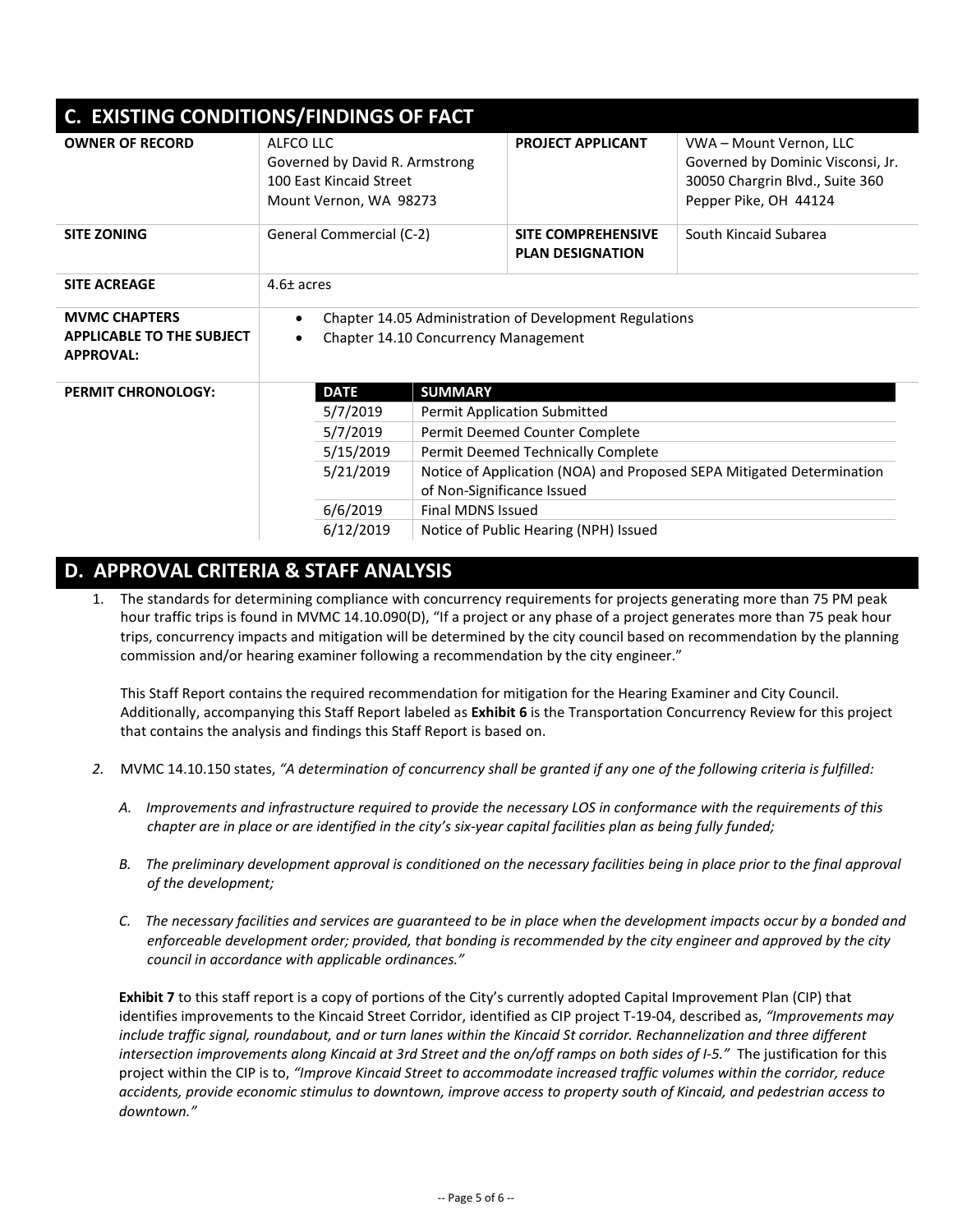| C. EXISTING CONDITIONS/FINDINGS OF FACT                                      |                                                                                                      |                                                                       |                                                      |                                                                                                                          |  |  |  |  |
|------------------------------------------------------------------------------|------------------------------------------------------------------------------------------------------|-----------------------------------------------------------------------|------------------------------------------------------|--------------------------------------------------------------------------------------------------------------------------|--|--|--|--|
| <b>OWNER OF RECORD</b>                                                       | ALFCO LLC<br>Governed by David R. Armstrong<br>100 Fast Kincaid Street<br>Mount Vernon, WA 98273     |                                                                       | <b>PROJECT APPLICANT</b>                             | VWA - Mount Vernon, LLC<br>Governed by Dominic Visconsi, Jr.<br>30050 Chargrin Blvd., Suite 360<br>Pepper Pike, OH 44124 |  |  |  |  |
| <b>SITE ZONING</b>                                                           | General Commercial (C-2)                                                                             |                                                                       | <b>SITE COMPREHENSIVE</b><br><b>PLAN DESIGNATION</b> | South Kincaid Subarea                                                                                                    |  |  |  |  |
| <b>SITE ACREAGE</b>                                                          | $4.6\pm$ acres                                                                                       |                                                                       |                                                      |                                                                                                                          |  |  |  |  |
| <b>MVMC CHAPTERS</b><br><b>APPLICABLE TO THE SUBJECT</b><br><b>APPROVAL:</b> | Chapter 14.05 Administration of Development Regulations<br>Chapter 14.10 Concurrency Management<br>٠ |                                                                       |                                                      |                                                                                                                          |  |  |  |  |
| <b>PERMIT CHRONOLOGY:</b>                                                    | <b>DATE</b>                                                                                          | <b>SUMMARY</b>                                                        |                                                      |                                                                                                                          |  |  |  |  |
|                                                                              | 5/7/2019                                                                                             | <b>Permit Application Submitted</b>                                   |                                                      |                                                                                                                          |  |  |  |  |
|                                                                              | 5/7/2019<br>Permit Deemed Counter Complete                                                           |                                                                       |                                                      |                                                                                                                          |  |  |  |  |
|                                                                              | 5/15/2019                                                                                            | Permit Deemed Technically Complete                                    |                                                      |                                                                                                                          |  |  |  |  |
|                                                                              | 5/21/2019                                                                                            | Notice of Application (NOA) and Proposed SEPA Mitigated Determination |                                                      |                                                                                                                          |  |  |  |  |
|                                                                              |                                                                                                      | of Non-Significance Issued                                            |                                                      |                                                                                                                          |  |  |  |  |
|                                                                              | 6/6/2019<br><b>Final MDNS Issued</b>                                                                 |                                                                       |                                                      |                                                                                                                          |  |  |  |  |
|                                                                              | 6/12/2019                                                                                            |                                                                       | Notice of Public Hearing (NPH) Issued                |                                                                                                                          |  |  |  |  |

#### **D. APPROVAL CRITERIA & STAFF ANALYSIS**

1. The standards for determining compliance with concurrency requirements for projects generating more than 75 PM peak hour traffic trips is found in MVMC 14.10.090(D), "If a project or any phase of a project generates more than 75 peak hour trips, concurrency impacts and mitigation will be determined by the city council based on recommendation by the planning commission and/or hearing examiner following a recommendation by the city engineer."

This Staff Report contains the required recommendation for mitigation for the Hearing Examiner and City Council. Additionally, accompanying this Staff Report labeled as **Exhibit 6** is the Transportation Concurrency Review for this project that contains the analysis and findings this Staff Report is based on.

- *2.* MVMC 14.10.150 states, *"A determination of concurrency shall be granted if any one of the following criteria is fulfilled:*
	- *A. Improvements and infrastructure required to provide the necessary LOS in conformance with the requirements of this chapter are in place or are identified in the city's six-year capital facilities plan as being fully funded;*
	- *B. The preliminary development approval is conditioned on the necessary facilities being in place prior to the final approval of the development;*
	- *C. The necessary facilities and services are guaranteed to be in place when the development impacts occur by a bonded and enforceable development order; provided, that bonding is recommended by the city engineer and approved by the city council in accordance with applicable ordinances."*

**Exhibit 7** to this staff report is a copy of portions of the City's currently adopted Capital Improvement Plan (CIP) that identifies improvements to the Kincaid Street Corridor, identified as CIP project T-19-04, described as, *"Improvements may include traffic signal, roundabout, and or turn lanes within the Kincaid St corridor. Rechannelization and three different intersection improvements along Kincaid at 3rd Street and the on/off ramps on both sides of I-5."* The justification for this project within the CIP is to, *"Improve Kincaid Street to accommodate increased traffic volumes within the corridor, reduce accidents, provide economic stimulus to downtown, improve access to property south of Kincaid, and pedestrian access to downtown."*